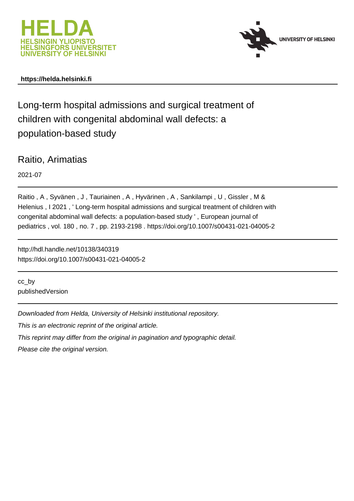



# **https://helda.helsinki.fi**

Long-term hospital admissions and surgical treatment of children with congenital abdominal wall defects: a population-based study

Raitio, Arimatias

2021-07

Raitio , A , Syvänen , J , Tauriainen , A , Hyvärinen , A , Sankilampi , U , Gissler , M & Helenius , I 2021 , ' Long-term hospital admissions and surgical treatment of children with congenital abdominal wall defects: a population-based study ' , European journal of pediatrics , vol. 180 , no. 7 , pp. 2193-2198 . https://doi.org/10.1007/s00431-021-04005-2

http://hdl.handle.net/10138/340319 https://doi.org/10.1007/s00431-021-04005-2

cc\_by publishedVersion

Downloaded from Helda, University of Helsinki institutional repository.

This is an electronic reprint of the original article.

This reprint may differ from the original in pagination and typographic detail.

Please cite the original version.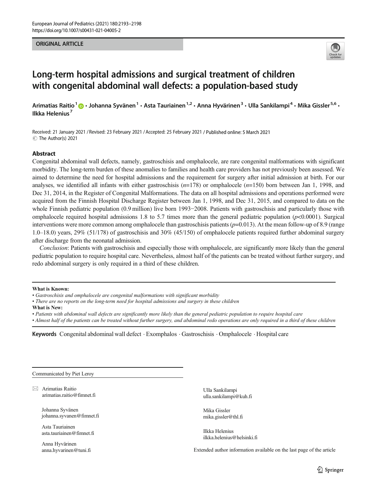#### ORIGINAL ARTICLE



# Long-term hospital admissions and surgical treatment of children with congenital abdominal wall defects: a population-based study

Arimatias Raitio<sup>1</sup>  $\cdot$  Johanna Syvänen<sup>1</sup> · Asta Tauriainen<sup>1,2</sup> · Anna Hyvärinen<sup>3</sup> · Ulla Sankilampi<sup>4</sup> · Mika Gissler<sup>5,6</sup> · Ilkka Helenius<sup>7</sup>

Received: 21 January 2021 / Revised: 23 February 2021 /Accepted: 25 February 2021 / Published online: 5 March 2021 C The Author(s) 2021

#### Abstract

Congenital abdominal wall defects, namely, gastroschisis and omphalocele, are rare congenital malformations with significant morbidity. The long-term burden of these anomalies to families and health care providers has not previously been assessed. We aimed to determine the need for hospital admissions and the requirement for surgery after initial admission at birth. For our analyses, we identified all infants with either gastroschisis  $(n=178)$  or omphalocele  $(n=150)$  born between Jan 1, 1998, and Dec 31, 2014, in the Register of Congenital Malformations. The data on all hospital admissions and operations performed were acquired from the Finnish Hospital Discharge Register between Jan 1, 1998, and Dec 31, 2015, and compared to data on the whole Finnish pediatric population (0.9 million) live born 1993−2008. Patients with gastroschisis and particularly those with omphalocele required hospital admissions 1.8 to 5.7 times more than the general pediatric population  $(p<0.0001)$ . Surgical interventions were more common among omphalocele than gastroschisis patients ( $p=0.013$ ). At the mean follow-up of 8.9 (range 1.0–18.0) years, 29% (51/178) of gastroschisis and 30% (45/150) of omphalocele patients required further abdominal surgery after discharge from the neonatal admission.

Conclusion: Patients with gastroschisis and especially those with omphalocele, are significantly more likely than the general pediatric population to require hospital care. Nevertheless, almost half of the patients can be treated without further surgery, and redo abdominal surgery is only required in a third of these children.

#### What is Known:

- There are no reports on the long-term need for hospital admissions and surgery in these children
- What is New:
- Patients with abdominal wall defects are significantly more likely than the general pediatric population to require hospital care

• Almost half of the patients can be treated without further surgery, and abdominal redo operations are only required in a third of these children

Keywords Congenital abdominal wall defect . Exomphalos . Gastroschisis . Omphalocele . Hospital care

Communicated by Piet Leroy

 $\boxtimes$  Arimatias Raitio [arimatias.raitio@fimnet.fi](mailto:arimatias.raitio@fimnet.fi)

> Johanna Syvänen johanna.syvanen@fimnet.fi

Asta Tauriainen asta.tauriainen@fimnet.fi

Anna Hyvärinen anna.hyvarinen@tuni.fi

Ulla Sankilampi ulla.sankilampi@kuh.fi

Mika Gissler mika.gissler@thl.fi

Ilkka Helenius ilkka.helenius@helsinki.fi

Extended author information available on the last page of the article

<sup>•</sup> Gastroschisis and omphalocele are congenital malformations with significant morbidity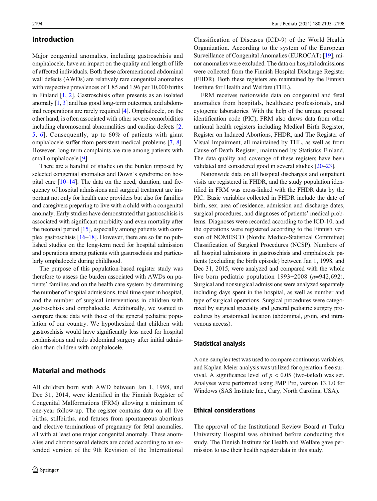#### Introduction

Major congenital anomalies, including gastroschisis and omphalocele, have an impact on the quality and length of life of affected individuals. Both these aforementioned abdominal wall defects (AWDs) are relatively rare congenital anomalies with respective prevalences of 1.85 and 1.96 per 10,000 births in Finland [1, 2]. Gastroschisis often presents as an isolated anomaly [1, 3] and has good long-term outcomes, and abdominal reoperations are rarely required [4]. Omphalocele, on the other hand, is often associated with other severe comorbidities including chromosomal abnormalities and cardiac defects [2, 5, 6]. Consequently, up to 60% of patients with giant omphalocele suffer from persistent medical problems [7, 8]. However, long-term complaints are rare among patients with small omphalocele [9].

There are a handful of studies on the burden imposed by selected congenital anomalies and Down's syndrome on hospital care [10–14]. The data on the need, duration, and frequency of hospital admissions and surgical treatment are important not only for health care providers but also for families and caregivers preparing to live with a child with a congenital anomaly. Early studies have demonstrated that gastroschisis is associated with significant morbidity and even mortality after the neonatal period [15], especially among patients with complex gastroschisis [16–18]. However, there are so far no published studies on the long-term need for hospital admission and operations among patients with gastroschisis and particularly omphalocele during childhood.

The purpose of this population-based register study was therefore to assess the burden associated with AWDs on patients' families and on the health care system by determining the number of hospital admissions, total time spent in hospital, and the number of surgical interventions in children with gastroschisis and omphalocele. Additionally, we wanted to compare these data with those of the general pediatric population of our country. We hypothesized that children with gastroschisis would have significantly less need for hospital readmissions and redo abdominal surgery after initial admission than children with omphalocele.

### Material and methods

All children born with AWD between Jan 1, 1998, and Dec 31, 2014, were identified in the Finnish Register of Congenital Malformations (FRM) allowing a minimum of one-year follow-up. The register contains data on all live births, stillbirths, and fetuses from spontaneous abortions and elective terminations of pregnancy for fetal anomalies, all with at least one major congenital anomaly. These anomalies and chromosomal defects are coded according to an extended version of the 9th Revision of the International

Classification of Diseases (ICD-9) of the World Health Organization. According to the system of the European Surveillance of Congenital Anomalies (EUROCAT) [19], minor anomalies were excluded. The data on hospital admissions were collected from the Finnish Hospital Discharge Register (FHDR). Both these registers are maintained by the Finnish Institute for Health and Welfare (THL).

FRM receives nationwide data on congenital and fetal anomalies from hospitals, healthcare professionals, and cytogenic laboratories. With the help of the unique personal identification code (PIC), FRM also draws data from other national health registers including Medical Birth Register, Register on Induced Abortions, FHDR, and The Register of Visual Impairment, all maintained by THL, as well as from Cause-of-Death Register, maintained by Statistics Finland. The data quality and coverage of these registers have been validated and considered good in several studies [20–23].

Nationwide data on all hospital discharges and outpatient visits are registered in FHDR, and the study population identified in FRM was cross-linked with the FHDR data by the PIC. Basic variables collected in FHDR include the date of birth, sex, area of residence, admission and discharge dates, surgical procedures, and diagnoses of patients' medical problems. Diagnoses were recorded according to the ICD-10, and the operations were registered according to the Finnish version of NOMESCO (Nordic Medico-Statistical Committee) Classification of Surgical Procedures (NCSP). Numbers of all hospital admissions in gastroschisis and omphalocele patients (excluding the birth episode) between Jan 1, 1998, and Dec 31, 2015, were analyzed and compared with the whole live born pediatric population 1993−2008 (n=942,692). Surgical and nonsurgical admissions were analyzed separately including days spent in the hospital, as well as number and type of surgical operations. Surgical procedures were categorized by surgical specialty and general pediatric surgery procedures by anatomical location (abdominal, groin, and intravenous access).

#### Statistical analysis

A one-sample t test was used to compare continuous variables, and Kaplan-Meier analysis was utilized for operation-free survival. A significance level of  $p < 0.05$  (two-tailed) was set. Analyses were performed using JMP Pro, version 13.1.0 for Windows (SAS Institute Inc., Cary, North Carolina, USA).

## Ethical considerations

The approval of the Institutional Review Board at Turku University Hospital was obtained before conducting this study. The Finnish Institute for Health and Welfare gave permission to use their health register data in this study.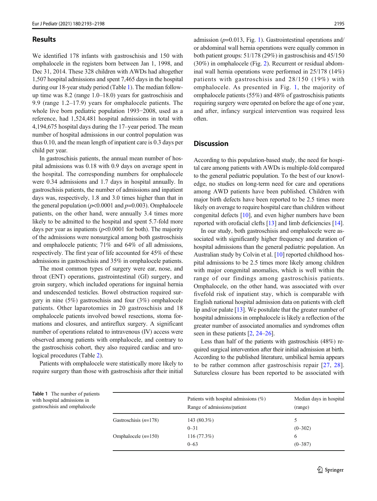## **Results**

We identified 178 infants with gastroschisis and 150 with omphalocele in the registers born between Jan 1, 1998, and Dec 31, 2014. These 328 children with AWDs had altogether 1,507 hospital admissions and spent 7,465 days in the hospital during our 18-year study period (Table 1). The median followup time was 8.2 (range 1.0–18.0) years for gastroschisis and 9.9 (range 1.2–17.9) years for omphalocele patients. The whole live born pediatric population 1993−2008, used as a reference, had 1,524,481 hospital admissions in total with 4,194,675 hospital days during the 17–year period. The mean number of hospital admissions in our control population was thus 0.10, and the mean length of inpatient care is 0.3 days per child per year.

In gastroschisis patients, the annual mean number of hospital admissions was 0.18 with 0.9 days on average spent in the hospital. The corresponding numbers for omphalocele were 0.34 admissions and 1.7 days in hospital annually. In gastroschisis patients, the number of admissions and inpatient days was, respectively, 1.8 and 3.0 times higher than that in the general population ( $p<0.0001$  and  $p=0.003$ ). Omphalocele patients, on the other hand, were annually 3.4 times more likely to be admitted to the hospital and spent 5.7-fold more days per year as inpatients  $(p<0.0001$  for both). The majority of the admissions were nonsurgical among both gastroschisis and omphalocele patients; 71% and 64% of all admissions, respectively. The first year of life accounted for 45% of these admissions in gastroschisis and 35% in omphalocele patients.

The most common types of surgery were ear, nose, and throat (ENT) operations, gastrointestinal (GI) surgery, and groin surgery, which included operations for inguinal hernia and undescended testicles. Bowel obstruction required surgery in nine (5%) gastroschisis and four (3%) omphalocele patients. Other laparotomies in 20 gastroschisis and 18 omphalocele patients involved bowel resections, stoma formations and closures, and antireflux surgery. A significant number of operations related to intravenous (IV) access were observed among patients with omphalocele, and contrary to the gastroschisis cohort, they also required cardiac and urological procedures (Table 2).

Patients with omphalocele were statistically more likely to require surgery than those with gastroschisis after their initial admission  $(p=0.013,$  Fig. 1). Gastrointestinal operations and/ or abdominal wall hernia operations were equally common in both patient groups: 51/178 (29%) in gastroschisis and 45/150 (30%) in omphalocele (Fig. 2). Recurrent or residual abdominal wall hernia operations were performed in 25/178 (14%) patients with gastroschisis and 28/150 (19%) with omphalocele. As presented in Fig. 1, the majority of omphalocele patients (55%) and 48% of gastroschisis patients requiring surgery were operated on before the age of one year, and after, infancy surgical intervention was required less often.

## **Discussion**

According to this population-based study, the need for hospital care among patients with AWDs is multiple-fold compared to the general pediatric population. To the best of our knowledge, no studies on long-term need for care and operations among AWD patients have been published. Children with major birth defects have been reported to be 2.5 times more likely on average to require hospital care than children without congenital defects [10], and even higher numbers have been reported with orofacial clefts [13] and limb deficiencies [14].

In our study, both gastroschisis and omphalocele were associated with significantly higher frequency and duration of hospital admissions than the general pediatric population. An Australian study by Colvin et al. [10] reported childhood hospital admissions to be 2.5 times more likely among children with major congenital anomalies, which is well within the range of our findings among gastroschisis patients. Omphalocele, on the other hand, was associated with over fivefold risk of inpatient stay, which is comparable with English national hospital admission data on patients with cleft lip and/or palate [13]. We postulate that the greater number of hospital admissions in omphalocele is likely a reflection of the greater number of associated anomalies and syndromes often seen in these patients [2, 24–26].

Less than half of the patients with gastroschisis (48%) required surgical intervention after their initial admission at birth. According to the published literature, umbilical hernia appears to be rather common after gastroschisis repair [27, 28]. Sutureless closure has been reported to be associated with

| ents<br>le |                         | Patients with hospital admissions $(\%)$<br>Range of admissions/patient | Median days in hospital<br>(range) |
|------------|-------------------------|-------------------------------------------------------------------------|------------------------------------|
|            | Gastroschisis $(n=178)$ | 143 $(80.3\%)$                                                          | 5                                  |
|            |                         | $0 - 31$                                                                | $(0 - 302)$                        |
|            | Omphalocele $(n=150)$   | 116(77.3%)                                                              | 6                                  |
|            |                         | $0 - 63$                                                                | $(0 - 387)$                        |

Table 1 The number of pati with hospital admissions in gastroschisis and omphaloce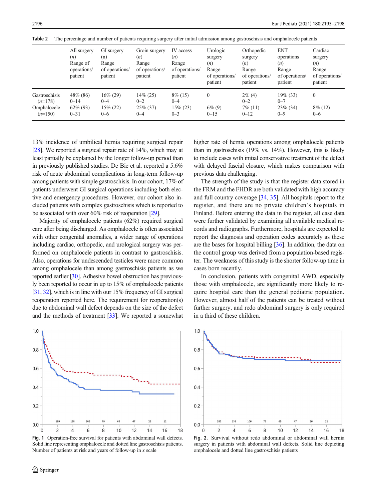|                            | All surgery<br>(n)<br>Range of<br>operations/<br>patient | GI surgery<br>(n)<br>Range<br>of operations/<br>patient | Groin surgery<br>(n)<br>Range<br>of operations/<br>patient | IV access<br>(n)<br>Range<br>of operations/<br>patient | Urologic<br>surgery<br>(n)<br>Range<br>of operations/<br>patient | Orthopedic<br>surgery<br>(n)<br>Range<br>of operations/<br>patient | <b>ENT</b><br>operations<br>(n)<br>Range<br>of operations/<br>patient | Cardiac<br>surgery<br>(n)<br>Range<br>of operations/<br>patient |
|----------------------------|----------------------------------------------------------|---------------------------------------------------------|------------------------------------------------------------|--------------------------------------------------------|------------------------------------------------------------------|--------------------------------------------------------------------|-----------------------------------------------------------------------|-----------------------------------------------------------------|
| Gastroschisis<br>$(n=178)$ | 48\% (86)<br>$0 - 14$                                    | $16\% (29)$<br>$0 - 4$                                  | $14\% (25)$<br>$0 - 2$                                     | $8\%$ (15)<br>$0 - 4$                                  | $\mathbf{0}$                                                     | $2\%$ (4)<br>$0 - 2$                                               | $19\%$ (33)<br>$0 - 7$                                                | $\mathbf{0}$                                                    |
| Omphalocele<br>$(n=150)$   | $62\%$ (93)<br>$0 - 31$                                  | $15\% (22)$<br>$0 - 6$                                  | $25\%$ (37)<br>$0 - 4$                                     | $15\% (23)$<br>$0 - 3$                                 | $6\%$ (9)<br>$0 - 15$                                            | $7\%$ (11)<br>$0 - 12$                                             | $23\%$ (34)<br>$0 - 9$                                                | $8\%$ (12)<br>$0 - 6$                                           |

Table 2 The percentage and number of patients requiring surgery after initial admission among gastroschisis and omphalocele patients

13% incidence of umbilical hernia requiring surgical repair [28]. We reported a surgical repair rate of 14%, which may at least partially be explained by the longer follow-up period than in previously published studies. De Bie et al. reported a 5.6% risk of acute abdominal complications in long-term follow-up among patients with simple gastroschisis. In our cohort, 17% of patients underwent GI surgical operations including both elective and emergency procedures. However, our cohort also included patients with complex gastroschisis which is reported to be associated with over 60% risk of reoperation [29].

Majority of omphalocele patients (62%) required surgical care after being discharged. As omphalocele is often associated with other congenital anomalies, a wider range of operations including cardiac, orthopedic, and urological surgery was performed on omphalocele patients in contrast to gastroschisis. Also, operations for undescended testicles were more common among omphalocele than among gastroschisis patients as we reported earlier [30]. Adhesive bowel obstruction has previously been reported to occur in up to 15% of omphalocele patients [31, 32], which is in line with our 15% frequency of GI surgical reoperation reported here. The requirement for reoperation(s) due to abdominal wall defect depends on the size of the defect and the methods of treatment [33]. We reported a somewhat



Fig. 1 Operation-free survival for patients with abdominal wall defects. Solid line representing omphalocele and dotted line gastroschisis patients. Number of patients at risk and years of follow-up in  $x$  scale

higher rate of hernia operations among omphalocele patients than in gastroschisis (19% vs. 14%). However, this is likely to include cases with initial conservative treatment of the defect with delayed fascial closure, which makes comparison with previous data challenging.

The strength of the study is that the register data stored in the FRM and the FHDR are both validated with high accuracy and full country coverage [34, 35]. All hospitals report to the register, and there are no private children's hospitals in Finland. Before entering the data in the register, all case data were further validated by examining all available medical records and radiographs. Furthermore, hospitals are expected to report the diagnosis and operation codes accurately as these are the bases for hospital billing [36]. In addition, the data on the control group was derived from a population-based register. The weakness of this study is the shorter follow-up time in cases born recently.

In conclusion, patients with congenital AWD, especially those with omphalocele, are significantly more likely to require hospital care than the general pediatric population. However, almost half of the patients can be treated without further surgery, and redo abdominal surgery is only required in a third of these children.



Fig. 2. Survival without redo abdominal or abdominal wall hernia surgery in patients with abdominal wall defects. Solid line depicting omphalocele and dotted line gastroschisis patients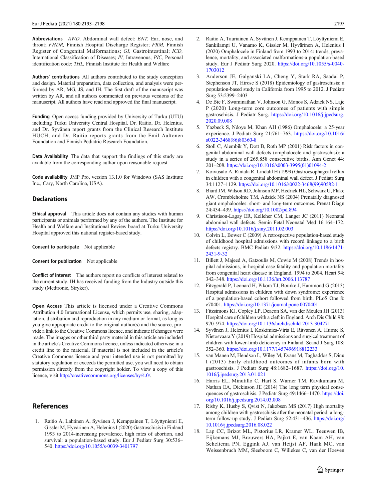Abbreviations AWD, Abdominal wall defect; ENT, Ear, nose, and throat; FHDR, Finnish Hospital Discharge Register; FRM, Finnish Register of Congenital Malformations; GI, Gastrointestinal; ICD, International Classification of Diseases; IV, Intravenous; PIC, Personal identification code; THL, Finnish Institute for Health and Welfare

Authors' contributions All authors contributed to the study conception and design. Material preparation, data collection, and analysis were performed by AR, MG, JS, and IH. The first draft of the manuscript was written by AR, and all authors commented on previous versions of the manuscript. All authors have read and approved the final manuscript.

Funding Open access funding provided by University of Turku (UTU) including Turku University Central Hospital. Dr. Raitio, Dr. Helenius, and Dr. Syvänen report grants from the Clinical Research Institute HUCH, and Dr. Raitio reports grants from the Emil Aaltonen Foundation and Finnish Pediatric Research Foundation.

Data Availability The data that support the findings of this study are available from the corresponding author upon reasonable request.

Code availability JMP Pro, version 13.1.0 for Windows (SAS Institute Inc., Cary, North Carolina, USA).

#### **Declarations**

Ethical approval This article does not contain any studies with human participants or animals performed by any of the authors. The Institute for Health and Welfare and Institutional Review board at Turku University Hospital approved this national register-based study.

Consent to participate Not applicable

Consent for publication Not applicable

Conflict of interest The authors report no conflicts of interest related to the current study. IH has received funding from the Industry outside this study (Medtronic, Stryker).

Open Access This article is licensed under a Creative Commons Attribution 4.0 International License, which permits use, sharing, adaptation, distribution and reproduction in any medium or format, as long as you give appropriate credit to the original author(s) and the source, provide a link to the Creative Commons licence, and indicate if changes were made. The images or other third party material in this article are included in the article's Creative Commons licence, unless indicated otherwise in a credit line to the material. If material is not included in the article's Creative Commons licence and your intended use is not permitted by statutory regulation or exceeds the permitted use, you will need to obtain permission directly from the copyright holder. To view a copy of this licence, visit <http://creativecommons.org/licenses/by/4.0/>.

## References

1. Raitio A, Lahtinen A, Syvänen J, Kemppainen T, Löyttyniemi E, Gissler M, Hyvärinen A, Helenius I (2020) Gastroschisis in Finland 1993 to 2014-increasing prevalence, high rates of abortion, and survival: a population-based study. Eur J Pediatr Surg 30:536– 540. [https://doi.org/10.1055/s-0039-3401797](https://doi.org/10.1055/s-3401797)

- 2. Raitio A, Tauriainen A, Syvänen J, Kemppainen T, Löyttyniemi E, Sankilampi U, Vanamo K, Gissler M, Hyvärinen A, Helenius I (2020) Omphalocele in Finland from 1993 to 2014: trends, prevalence, mortality, and associated malformations-a population-based study. Eur J Pediatr Surg 2020. [https://doi.org/10.1055/s-0040-](https://doi.org/10.1055/s-0040-1703012) [1703012](https://doi.org/10.1055/s-0040-1703012)
- 3. Anderson JE, Galganski LA, Cheng Y, Stark RA, Saadai P, Stephenson JT, Hirose S (2018) Epidemiology of gastroschisis: a population-based study in California from 1995 to 2012. J Pediatr Surg 53:2399–2403
- 4. De Bie F, Swaminathan V, Johnson G, Monos S, Adzick NS, Laje P (2020) Long-term core outcomes of patients with simple gastroschisis. J Pediatr Surg. [https://doi.org/10.1016/j.jpedsurg.](https://doi.org/10.1016/j.jpedsurg.2020.09.008) [2020.09.008](https://doi.org/10.1016/j.jpedsurg.2020.09.008)
- 5. Yazbeck S, Ndoye M, Khan AH (1986) Omphalocele: a 25-year experience. J Pediatr Surg 21:761–763. [https://doi.org/10.1016/](https://doi.org/10.1016/s0022-3468(86)80360-8) [s0022-3468\(86\)80360-8](https://doi.org/10.1016/s0022-3468(86)80360-8)
- 6. Stoll C, Alembik Y, Dott B, Roth MP (2001) Risk factors in congenital abdominal wall defects (omphalocele and gastroschisi): a study in a series of 265,858 consecutive births. Ann Genet 44: 201–208. [https://doi.org/10.1016/s0003-3995\(01\)01094-2](https://doi.org/10.1016/s0003-3995(01)01094-2)
- 7. Koivusalo A, Rintala R, Lindahl H (1999) Gastroesophageal reflux in children with a congenital abdominal wall defect. J Pediatr Surg 34:1127–1129. [https://doi.org/10.1016/s0022-3468\(99\)90582-1](https://doi.org/10.1016/s0022-3468(99)90582-1)
- 8. Biard JM, Wilson RD, Johnson MP, Hedrick HL, Schwarz U, Flake AW, Crombleholme TM, Adzick NS (2004) Prenatally diagnosed giant omphaloceles: short- and long-term outcomes. Prenat Diagn 24:434–439. <https://doi.org/10.1002/pd.894>
- 9. Christison-Lagay ER, Kelleher CM, Langer JC (2011) Neonatal abdominal wall defects. Semin Fetal Neonatal Med 16:164–172. <https://doi.org/10.1016/j.siny.2011.02.003>
- 10. Colvin L, Bower C (2009) A retrospective population-based study of childhood hospital admissions with record linkage to a birth defects registry. BMC Pediatr 9:32. [https://doi.org/10.1186/1471-](https://doi.org/10.1186/1471-2431-9-32) [2431-9-32](https://doi.org/10.1186/1471-2431-9-32)
- 11. Billett J, Majeed A, Gatzoulis M, Cowie M (2008) Trends in hospital admissions, in-hospital case fatality and population mortality from congenital heart disease in England, 1994 to 2004. Heart 94: 342–348. <https://doi.org/10.1136/hrt.2006.113787>
- 12. Fitzgerald P, Leonard H, Pikora TJ, Bourke J, Hammond G (2013) Hospital admissions in children with down syndrome: experience of a population-based cohort followed from birth. PLoS One 8: e70401. <https://doi.org/10.1371/journal.pone.0070401>
- 13. Fitzsimons KJ, Copley LP, Deacon SA, van der Meulen JH (2013) Hospital care of children with a cleft in England. Arch Dis Child 98: 970–974. <https://doi.org/10.1136/archdischild-2013-304271>
- 14. Syvänen J, Helenius I, Koskimies-Virta E, Ritvanen A, Hurme S, Nietosvaara Y (2019) Hospital admissions and surgical treatment of children with lower-limb deficiency in Finland. Scand J Surg 108: 352–360. <https://doi.org/10.1177/1457496918812233>
- 15. van Manen M, Hendson L, Wiley M, Evans M, Taghaddos S, Dinu I (2013) Early childhood outcomes of infants born with gastroschisis. J Pediatr Surg 48:1682–1687. [https://doi.org/10.](https://doi.org/10.1016/j.jpedsurg.2013.01.021) [1016/j.jpedsurg.2013.01.021](https://doi.org/10.1016/j.jpedsurg.2013.01.021)
- 16. Harris EL, Minutillo C, Hart S, Warner TM, Ravikumara M, Nathan EA, Dickinson JE (2014) The long term physical consequences of gastroschisis. J Pediatr Surg 49:1466–1470. [https://doi.](https://doi.org/10.1016/j.jpedsurg.2014.03.008) [org/10.1016/j.jpedsurg.2014.03.008](https://doi.org/10.1016/j.jpedsurg.2014.03.008)
- 17. Risby K, Husby S, Qvist N, Jakobsen MS (2017) High mortality among children with gastroschisis after the neonatal period: a longterm follow-up study. J Pediatr Surg 52:431–436. [https://doi.org/](https://doi.org/10.1016/j.jpedsurg.2016.08.022) [10.1016/j.jpedsurg.2016.08.022](https://doi.org/10.1016/j.jpedsurg.2016.08.022)
- 18. Lap CC, Brizot ML, Pistorius LR, Kramer WL, Teeuwen IB, Eijkemans MJ, Brouwers HA, Pajkrt E, van Kaam AH, van Scheltema PN, Eggink AJ, van Heijst AF, Haak MC, van Weissenbruch MM, Sleeboom C, Willekes C, van der Hoeven